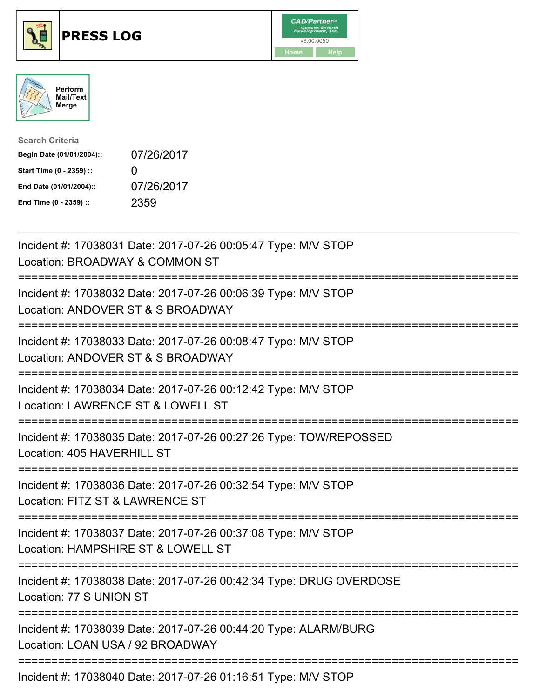





| <b>Search Criteria</b>    |              |
|---------------------------|--------------|
| Begin Date (01/01/2004):: | 07/26/2017   |
| Start Time (0 - 2359) ::  | $\mathbf{I}$ |
| End Date (01/01/2004)::   | 07/26/2017   |
| End Time (0 - 2359) ::    | 2359         |

| Incident #: 17038031 Date: 2017-07-26 00:05:47 Type: M/V STOP<br>Location: BROADWAY & COMMON ST                                                    |
|----------------------------------------------------------------------------------------------------------------------------------------------------|
| Incident #: 17038032 Date: 2017-07-26 00:06:39 Type: M/V STOP<br>Location: ANDOVER ST & S BROADWAY                                                 |
| Incident #: 17038033 Date: 2017-07-26 00:08:47 Type: M/V STOP<br>Location: ANDOVER ST & S BROADWAY<br>========================                     |
| Incident #: 17038034 Date: 2017-07-26 00:12:42 Type: M/V STOP<br>Location: LAWRENCE ST & LOWELL ST                                                 |
| Incident #: 17038035 Date: 2017-07-26 00:27:26 Type: TOW/REPOSSED<br>Location: 405 HAVERHILL ST<br>:===================================            |
| Incident #: 17038036 Date: 2017-07-26 00:32:54 Type: M/V STOP<br>Location: FITZ ST & LAWRENCE ST<br>:=========================<br>================ |
| Incident #: 17038037 Date: 2017-07-26 00:37:08 Type: M/V STOP<br>Location: HAMPSHIRE ST & LOWELL ST                                                |
| Incident #: 17038038 Date: 2017-07-26 00:42:34 Type: DRUG OVERDOSE<br>Location: 77 S UNION ST<br>:===================================              |
| Incident #: 17038039 Date: 2017-07-26 00:44:20 Type: ALARM/BURG<br>Location: LOAN USA / 92 BROADWAY                                                |
| Incident #: 17038040 Date: 2017-07-26 01:16:51 Type: M/V STOP                                                                                      |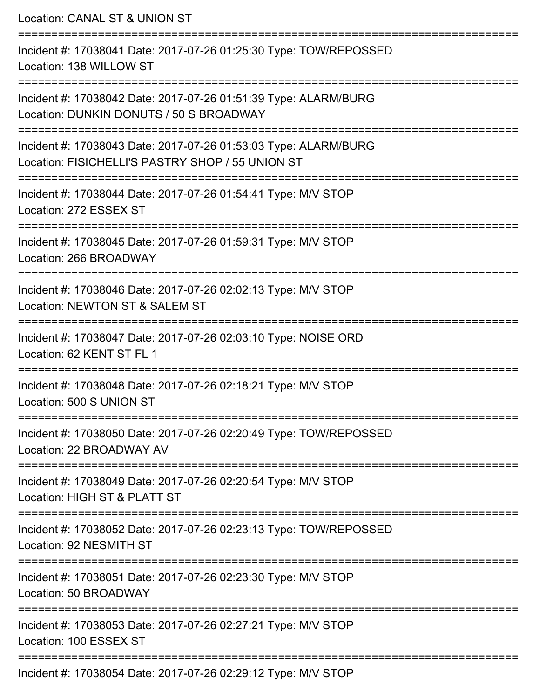Location: CANAL ST & UNION ST =========================================================================== Incident #: 17038041 Date: 2017-07-26 01:25:30 Type: TOW/REPOSSED Location: 138 WILLOW ST =========================================================================== Incident #: 17038042 Date: 2017-07-26 01:51:39 Type: ALARM/BURG Location: DUNKIN DONUTS / 50 S BROADWAY =========================================================================== Incident #: 17038043 Date: 2017-07-26 01:53:03 Type: ALARM/BURG Location: FISICHELLI'S PASTRY SHOP / 55 UNION ST =========================================================================== Incident #: 17038044 Date: 2017-07-26 01:54:41 Type: M/V STOP Location: 272 ESSEX ST =========================================================================== Incident #: 17038045 Date: 2017-07-26 01:59:31 Type: M/V STOP Location: 266 BROADWAY =========================================================================== Incident #: 17038046 Date: 2017-07-26 02:02:13 Type: M/V STOP Location: NEWTON ST & SALEM ST =========================================================================== Incident #: 17038047 Date: 2017-07-26 02:03:10 Type: NOISE ORD Location: 62 KENT ST FL 1 =========================================================================== Incident #: 17038048 Date: 2017-07-26 02:18:21 Type: M/V STOP Location: 500 S UNION ST =========================================================================== Incident #: 17038050 Date: 2017-07-26 02:20:49 Type: TOW/REPOSSED Location: 22 BROADWAY AV =========================================================================== Incident #: 17038049 Date: 2017-07-26 02:20:54 Type: M/V STOP Location: HIGH ST & PLATT ST =========================================================================== Incident #: 17038052 Date: 2017-07-26 02:23:13 Type: TOW/REPOSSED Location: 92 NESMITH ST =========================================================================== Incident #: 17038051 Date: 2017-07-26 02:23:30 Type: M/V STOP Location: 50 BROADWAY =========================================================================== Incident #: 17038053 Date: 2017-07-26 02:27:21 Type: M/V STOP Location: 100 ESSEX ST ===========================================================================

Incident #: 17038054 Date: 2017-07-26 02:29:12 Type: M/V STOP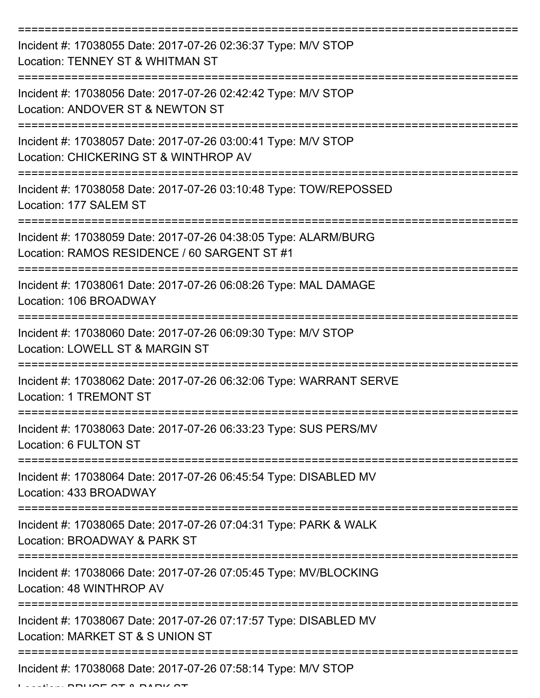| Incident #: 17038055 Date: 2017-07-26 02:36:37 Type: M/V STOP<br>Location: TENNEY ST & WHITMAN ST               |
|-----------------------------------------------------------------------------------------------------------------|
| Incident #: 17038056 Date: 2017-07-26 02:42:42 Type: M/V STOP<br>Location: ANDOVER ST & NEWTON ST               |
| Incident #: 17038057 Date: 2017-07-26 03:00:41 Type: M/V STOP<br>Location: CHICKERING ST & WINTHROP AV          |
| Incident #: 17038058 Date: 2017-07-26 03:10:48 Type: TOW/REPOSSED<br>Location: 177 SALEM ST                     |
| Incident #: 17038059 Date: 2017-07-26 04:38:05 Type: ALARM/BURG<br>Location: RAMOS RESIDENCE / 60 SARGENT ST #1 |
| Incident #: 17038061 Date: 2017-07-26 06:08:26 Type: MAL DAMAGE<br>Location: 106 BROADWAY                       |
| Incident #: 17038060 Date: 2017-07-26 06:09:30 Type: M/V STOP<br>Location: LOWELL ST & MARGIN ST                |
| Incident #: 17038062 Date: 2017-07-26 06:32:06 Type: WARRANT SERVE<br><b>Location: 1 TREMONT ST</b>             |
| Incident #: 17038063 Date: 2017-07-26 06:33:23 Type: SUS PERS/MV<br>Location: 6 FULTON ST                       |
| Incident #: 17038064 Date: 2017-07-26 06:45:54 Type: DISABLED MV<br>Location: 433 BROADWAY                      |
| Incident #: 17038065 Date: 2017-07-26 07:04:31 Type: PARK & WALK<br>Location: BROADWAY & PARK ST                |
| Incident #: 17038066 Date: 2017-07-26 07:05:45 Type: MV/BLOCKING<br>Location: 48 WINTHROP AV                    |
| Incident #: 17038067 Date: 2017-07-26 07:17:57 Type: DISABLED MV<br>Location: MARKET ST & S UNION ST            |
| Incident #: 17038068 Date: 2017-07-26 07:58:14 Type: M/V STOP                                                   |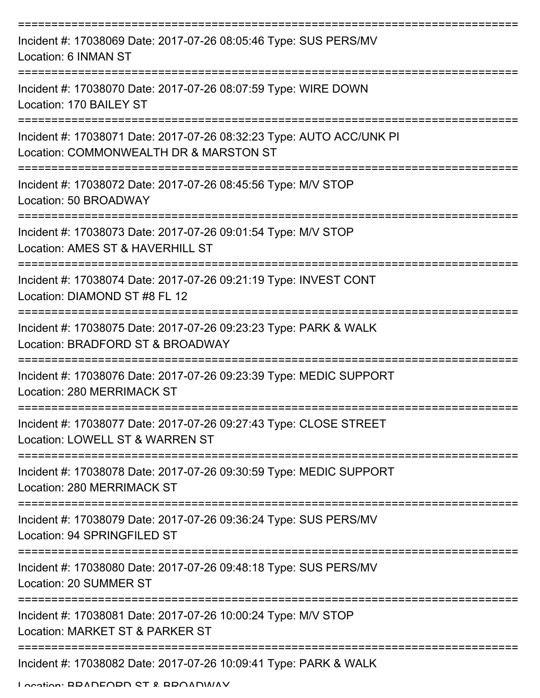| Incident #: 17038069 Date: 2017-07-26 08:05:46 Type: SUS PERS/MV<br>Location: 6 INMAN ST                       |
|----------------------------------------------------------------------------------------------------------------|
| Incident #: 17038070 Date: 2017-07-26 08:07:59 Type: WIRE DOWN<br>Location: 170 BAILEY ST                      |
| Incident #: 17038071 Date: 2017-07-26 08:32:23 Type: AUTO ACC/UNK PI<br>Location: COMMONWEALTH DR & MARSTON ST |
| Incident #: 17038072 Date: 2017-07-26 08:45:56 Type: M/V STOP<br>Location: 50 BROADWAY                         |
| Incident #: 17038073 Date: 2017-07-26 09:01:54 Type: M/V STOP<br>Location: AMES ST & HAVERHILL ST              |
| Incident #: 17038074 Date: 2017-07-26 09:21:19 Type: INVEST CONT<br>Location: DIAMOND ST #8 FL 12              |
| Incident #: 17038075 Date: 2017-07-26 09:23:23 Type: PARK & WALK<br>Location: BRADFORD ST & BROADWAY           |
| Incident #: 17038076 Date: 2017-07-26 09:23:39 Type: MEDIC SUPPORT<br>Location: 280 MERRIMACK ST               |
| Incident #: 17038077 Date: 2017-07-26 09:27:43 Type: CLOSE STREET<br>Location: LOWELL ST & WARREN ST           |
| Incident #: 17038078 Date: 2017-07-26 09:30:59 Type: MEDIC SUPPORT<br>Location: 280 MERRIMACK ST               |
| Incident #: 17038079 Date: 2017-07-26 09:36:24 Type: SUS PERS/MV<br>Location: 94 SPRINGFILED ST                |
| Incident #: 17038080 Date: 2017-07-26 09:48:18 Type: SUS PERS/MV<br>Location: 20 SUMMER ST                     |
| Incident #: 17038081 Date: 2017-07-26 10:00:24 Type: M/V STOP<br>Location: MARKET ST & PARKER ST               |
| Incident #: 17038082 Date: 2017-07-26 10:09:41 Type: PARK & WALK                                               |

Location: BRADFORD ST & BROADWAY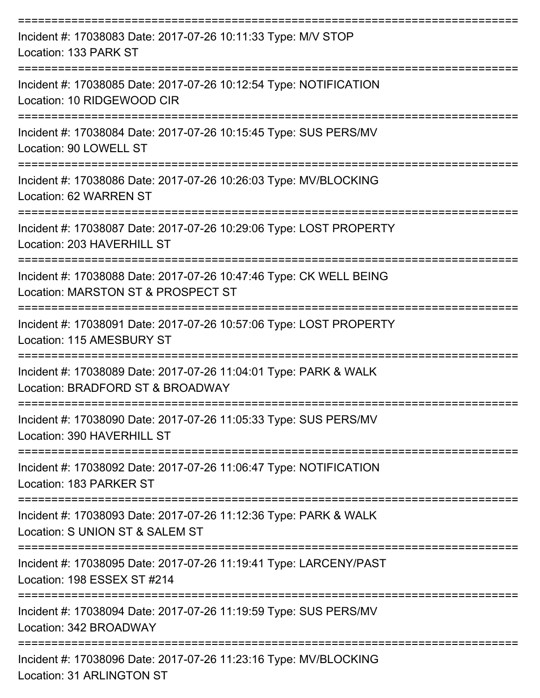| Incident #: 17038083 Date: 2017-07-26 10:11:33 Type: M/V STOP<br>Location: 133 PARK ST                   |
|----------------------------------------------------------------------------------------------------------|
| Incident #: 17038085 Date: 2017-07-26 10:12:54 Type: NOTIFICATION<br>Location: 10 RIDGEWOOD CIR          |
| Incident #: 17038084 Date: 2017-07-26 10:15:45 Type: SUS PERS/MV<br>Location: 90 LOWELL ST               |
| Incident #: 17038086 Date: 2017-07-26 10:26:03 Type: MV/BLOCKING<br>Location: 62 WARREN ST               |
| Incident #: 17038087 Date: 2017-07-26 10:29:06 Type: LOST PROPERTY<br>Location: 203 HAVERHILL ST         |
| Incident #: 17038088 Date: 2017-07-26 10:47:46 Type: CK WELL BEING<br>Location: MARSTON ST & PROSPECT ST |
| Incident #: 17038091 Date: 2017-07-26 10:57:06 Type: LOST PROPERTY<br>Location: 115 AMESBURY ST          |
| Incident #: 17038089 Date: 2017-07-26 11:04:01 Type: PARK & WALK<br>Location: BRADFORD ST & BROADWAY     |
| Incident #: 17038090 Date: 2017-07-26 11:05:33 Type: SUS PERS/MV<br>Location: 390 HAVERHILL ST           |
| Incident #: 17038092 Date: 2017-07-26 11:06:47 Type: NOTIFICATION<br>Location: 183 PARKER ST             |
| Incident #: 17038093 Date: 2017-07-26 11:12:36 Type: PARK & WALK<br>Location: S UNION ST & SALEM ST      |
| Incident #: 17038095 Date: 2017-07-26 11:19:41 Type: LARCENY/PAST<br>Location: 198 ESSEX ST #214         |
| Incident #: 17038094 Date: 2017-07-26 11:19:59 Type: SUS PERS/MV<br>Location: 342 BROADWAY               |
| Incident #: 17038096 Date: 2017-07-26 11:23:16 Type: MV/BLOCKING<br><b>Location: 31 ARLINGTON ST</b>     |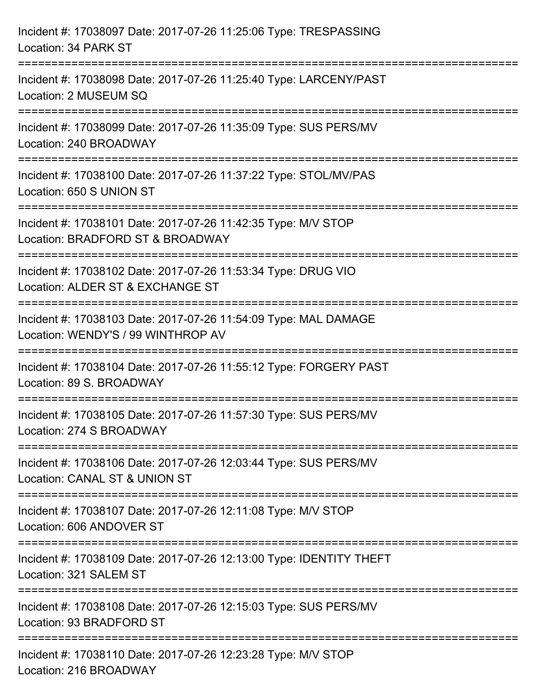| Incident #: 17038097 Date: 2017-07-26 11:25:06 Type: TRESPASSING<br>Location: 34 PARK ST                                          |
|-----------------------------------------------------------------------------------------------------------------------------------|
| Incident #: 17038098 Date: 2017-07-26 11:25:40 Type: LARCENY/PAST<br>Location: 2 MUSEUM SQ                                        |
| Incident #: 17038099 Date: 2017-07-26 11:35:09 Type: SUS PERS/MV<br>Location: 240 BROADWAY                                        |
| ================================<br>Incident #: 17038100 Date: 2017-07-26 11:37:22 Type: STOL/MV/PAS<br>Location: 650 S UNION ST  |
| Incident #: 17038101 Date: 2017-07-26 11:42:35 Type: M/V STOP<br>Location: BRADFORD ST & BROADWAY                                 |
| Incident #: 17038102 Date: 2017-07-26 11:53:34 Type: DRUG VIO<br>Location: ALDER ST & EXCHANGE ST                                 |
| :=======================<br>Incident #: 17038103 Date: 2017-07-26 11:54:09 Type: MAL DAMAGE<br>Location: WENDY'S / 99 WINTHROP AV |
| Incident #: 17038104 Date: 2017-07-26 11:55:12 Type: FORGERY PAST<br>Location: 89 S. BROADWAY                                     |
| Incident #: 17038105 Date: 2017-07-26 11:57:30 Type: SUS PERS/MV<br>Location: 274 S BROADWAY                                      |
| Incident #: 17038106 Date: 2017-07-26 12:03:44 Type: SUS PERS/MV<br>Location: CANAL ST & UNION ST                                 |
| Incident #: 17038107 Date: 2017-07-26 12:11:08 Type: M/V STOP<br>Location: 606 ANDOVER ST                                         |
| Incident #: 17038109 Date: 2017-07-26 12:13:00 Type: IDENTITY THEFT<br>Location: 321 SALEM ST                                     |
| Incident #: 17038108 Date: 2017-07-26 12:15:03 Type: SUS PERS/MV<br>Location: 93 BRADFORD ST                                      |
| Incident #: 17038110 Date: 2017-07-26 12:23:28 Type: M/V STOP<br>Location: 216 BROADWAY                                           |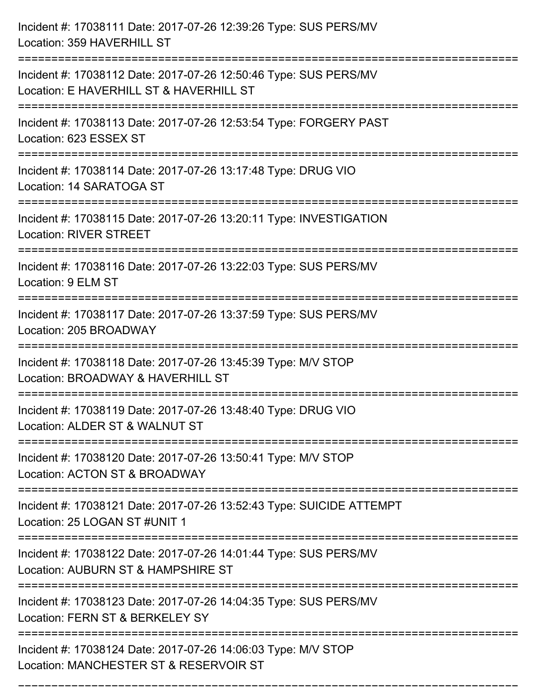| Incident #: 17038111 Date: 2017-07-26 12:39:26 Type: SUS PERS/MV<br>Location: 359 HAVERHILL ST                                                                        |
|-----------------------------------------------------------------------------------------------------------------------------------------------------------------------|
| Incident #: 17038112 Date: 2017-07-26 12:50:46 Type: SUS PERS/MV<br>Location: E HAVERHILL ST & HAVERHILL ST                                                           |
| Incident #: 17038113 Date: 2017-07-26 12:53:54 Type: FORGERY PAST<br>Location: 623 ESSEX ST                                                                           |
| Incident #: 17038114 Date: 2017-07-26 13:17:48 Type: DRUG VIO<br>Location: 14 SARATOGA ST                                                                             |
| Incident #: 17038115 Date: 2017-07-26 13:20:11 Type: INVESTIGATION<br><b>Location: RIVER STREET</b><br>===================================<br>======================= |
| Incident #: 17038116 Date: 2017-07-26 13:22:03 Type: SUS PERS/MV<br>Location: 9 ELM ST                                                                                |
| Incident #: 17038117 Date: 2017-07-26 13:37:59 Type: SUS PERS/MV<br>Location: 205 BROADWAY                                                                            |
| Incident #: 17038118 Date: 2017-07-26 13:45:39 Type: M/V STOP<br>Location: BROADWAY & HAVERHILL ST                                                                    |
| Incident #: 17038119 Date: 2017-07-26 13:48:40 Type: DRUG VIO<br>Location: ALDER ST & WALNUT ST                                                                       |
| Incident #: 17038120 Date: 2017-07-26 13:50:41 Type: M/V STOP<br>Location: ACTON ST & BROADWAY                                                                        |
| Incident #: 17038121 Date: 2017-07-26 13:52:43 Type: SUICIDE ATTEMPT<br>Location: 25 LOGAN ST #UNIT 1                                                                 |
| Incident #: 17038122 Date: 2017-07-26 14:01:44 Type: SUS PERS/MV<br>Location: AUBURN ST & HAMPSHIRE ST                                                                |
| Incident #: 17038123 Date: 2017-07-26 14:04:35 Type: SUS PERS/MV<br>Location: FERN ST & BERKELEY SY<br>---------------------------                                    |
| Incident #: 17038124 Date: 2017-07-26 14:06:03 Type: M/V STOP<br>Location: MANCHESTER ST & RESERVOIR ST                                                               |

===========================================================================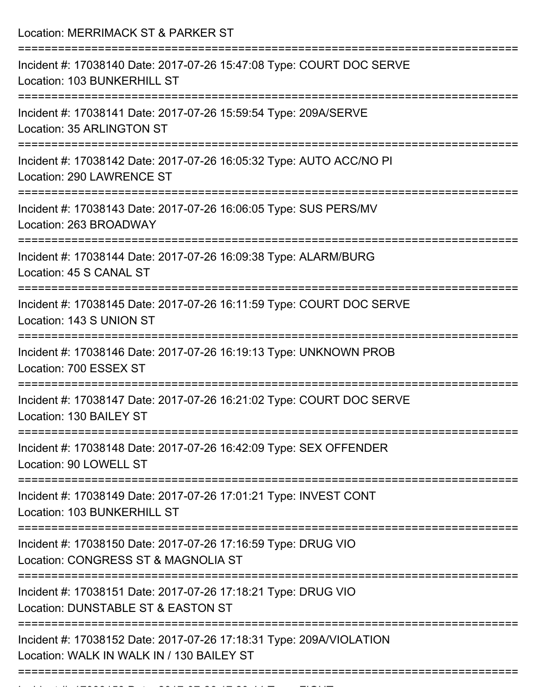Location: MERRIMACK ST & PARKER ST

| Incident #: 17038140 Date: 2017-07-26 15:47:08 Type: COURT DOC SERVE<br>Location: 103 BUNKERHILL ST                          |
|------------------------------------------------------------------------------------------------------------------------------|
| Incident #: 17038141 Date: 2017-07-26 15:59:54 Type: 209A/SERVE<br><b>Location: 35 ARLINGTON ST</b>                          |
| Incident #: 17038142 Date: 2017-07-26 16:05:32 Type: AUTO ACC/NO PI<br>Location: 290 LAWRENCE ST                             |
| Incident #: 17038143 Date: 2017-07-26 16:06:05 Type: SUS PERS/MV<br>Location: 263 BROADWAY                                   |
| Incident #: 17038144 Date: 2017-07-26 16:09:38 Type: ALARM/BURG<br>Location: 45 S CANAL ST<br>============================== |
| Incident #: 17038145 Date: 2017-07-26 16:11:59 Type: COURT DOC SERVE<br>Location: 143 S UNION ST                             |
| Incident #: 17038146 Date: 2017-07-26 16:19:13 Type: UNKNOWN PROB<br>Location: 700 ESSEX ST                                  |
| Incident #: 17038147 Date: 2017-07-26 16:21:02 Type: COURT DOC SERVE<br>Location: 130 BAILEY ST                              |
| :==============<br>Incident #: 17038148 Date: 2017-07-26 16:42:09 Type: SEX OFFENDER<br>Location: 90 LOWELL ST               |
| ====================<br>Incident #: 17038149 Date: 2017-07-26 17:01:21 Type: INVEST CONT<br>Location: 103 BUNKERHILL ST      |
| Incident #: 17038150 Date: 2017-07-26 17:16:59 Type: DRUG VIO<br>Location: CONGRESS ST & MAGNOLIA ST                         |
| Incident #: 17038151 Date: 2017-07-26 17:18:21 Type: DRUG VIO<br>Location: DUNSTABLE ST & EASTON ST                          |
| Incident #: 17038152 Date: 2017-07-26 17:18:31 Type: 209A/VIOLATION<br>Location: WALK IN WALK IN / 130 BAILEY ST             |
|                                                                                                                              |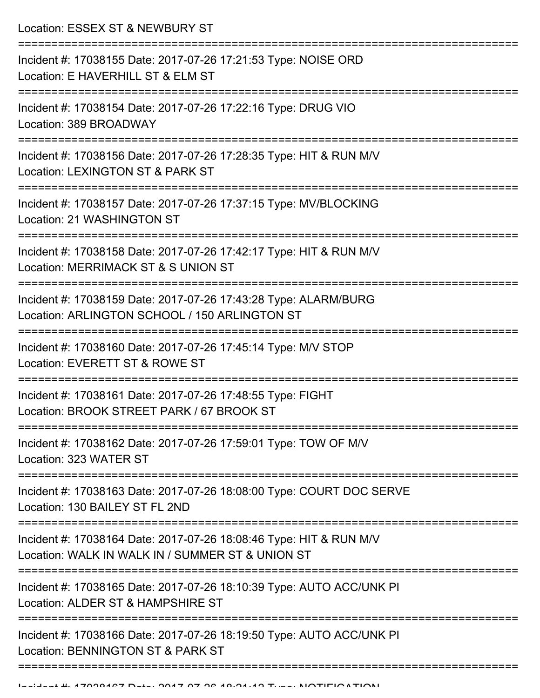Location: ESSEX ST & NEWBURY ST

| Incident #: 17038155 Date: 2017-07-26 17:21:53 Type: NOISE ORD<br>Location: E HAVERHILL ST & ELM ST                    |
|------------------------------------------------------------------------------------------------------------------------|
| Incident #: 17038154 Date: 2017-07-26 17:22:16 Type: DRUG VIO<br>Location: 389 BROADWAY                                |
| Incident #: 17038156 Date: 2017-07-26 17:28:35 Type: HIT & RUN M/V<br>Location: LEXINGTON ST & PARK ST                 |
| Incident #: 17038157 Date: 2017-07-26 17:37:15 Type: MV/BLOCKING<br>Location: 21 WASHINGTON ST                         |
| Incident #: 17038158 Date: 2017-07-26 17:42:17 Type: HIT & RUN M/V<br>Location: MERRIMACK ST & S UNION ST              |
| Incident #: 17038159 Date: 2017-07-26 17:43:28 Type: ALARM/BURG<br>Location: ARLINGTON SCHOOL / 150 ARLINGTON ST       |
| Incident #: 17038160 Date: 2017-07-26 17:45:14 Type: M/V STOP<br>Location: EVERETT ST & ROWE ST                        |
| Incident #: 17038161 Date: 2017-07-26 17:48:55 Type: FIGHT<br>Location: BROOK STREET PARK / 67 BROOK ST                |
| Incident #: 17038162 Date: 2017-07-26 17:59:01 Type: TOW OF M/V<br>Location: 323 WATER ST                              |
| Incident #: 17038163 Date: 2017-07-26 18:08:00 Type: COURT DOC SERVE<br>Location: 130 BAILEY ST FL 2ND                 |
| Incident #: 17038164 Date: 2017-07-26 18:08:46 Type: HIT & RUN M/V<br>Location: WALK IN WALK IN / SUMMER ST & UNION ST |
| Incident #: 17038165 Date: 2017-07-26 18:10:39 Type: AUTO ACC/UNK PI<br>Location: ALDER ST & HAMPSHIRE ST              |
| Incident #: 17038166 Date: 2017-07-26 18:19:50 Type: AUTO ACC/UNK PI<br>Location: BENNINGTON ST & PARK ST              |
|                                                                                                                        |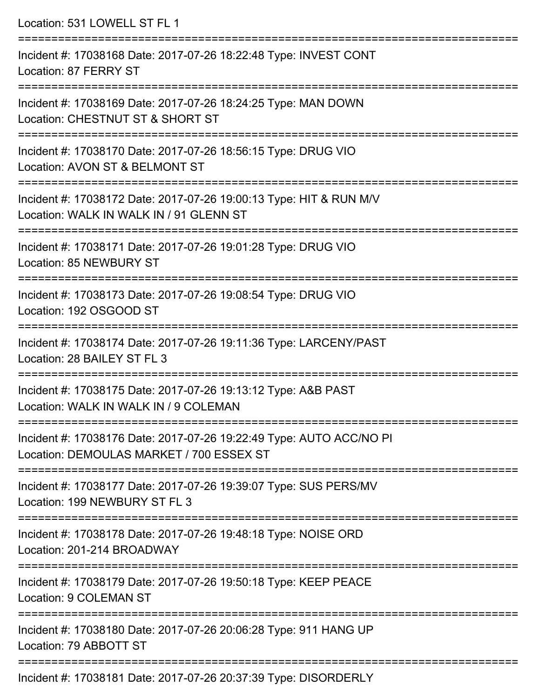| Location: 531 LOWELL ST FL 1                                                                                                  |
|-------------------------------------------------------------------------------------------------------------------------------|
| Incident #: 17038168 Date: 2017-07-26 18:22:48 Type: INVEST CONT<br>Location: 87 FERRY ST<br>:==============================  |
| Incident #: 17038169 Date: 2017-07-26 18:24:25 Type: MAN DOWN<br>Location: CHESTNUT ST & SHORT ST<br>:======================= |
| Incident #: 17038170 Date: 2017-07-26 18:56:15 Type: DRUG VIO<br>Location: AVON ST & BELMONT ST                               |
| Incident #: 17038172 Date: 2017-07-26 19:00:13 Type: HIT & RUN M/V<br>Location: WALK IN WALK IN / 91 GLENN ST                 |
| :========================<br>Incident #: 17038171 Date: 2017-07-26 19:01:28 Type: DRUG VIO<br>Location: 85 NEWBURY ST         |
| Incident #: 17038173 Date: 2017-07-26 19:08:54 Type: DRUG VIO<br>Location: 192 OSGOOD ST                                      |
| Incident #: 17038174 Date: 2017-07-26 19:11:36 Type: LARCENY/PAST<br>Location: 28 BAILEY ST FL 3                              |
| Incident #: 17038175 Date: 2017-07-26 19:13:12 Type: A&B PAST<br>Location: WALK IN WALK IN / 9 COLEMAN                        |
| Incident #: 17038176 Date: 2017-07-26 19:22:49 Type: AUTO ACC/NO PI<br>Location: DEMOULAS MARKET / 700 ESSEX ST               |
| Incident #: 17038177 Date: 2017-07-26 19:39:07 Type: SUS PERS/MV<br>Location: 199 NEWBURY ST FL 3                             |
| Incident #: 17038178 Date: 2017-07-26 19:48:18 Type: NOISE ORD<br>Location: 201-214 BROADWAY                                  |
| Incident #: 17038179 Date: 2017-07-26 19:50:18 Type: KEEP PEACE<br><b>Location: 9 COLEMAN ST</b>                              |
| Incident #: 17038180 Date: 2017-07-26 20:06:28 Type: 911 HANG UP<br>Location: 79 ABBOTT ST                                    |
| Incident #: 17038181 Date: 2017-07-26 20:37:39 Type: DISORDERLY                                                               |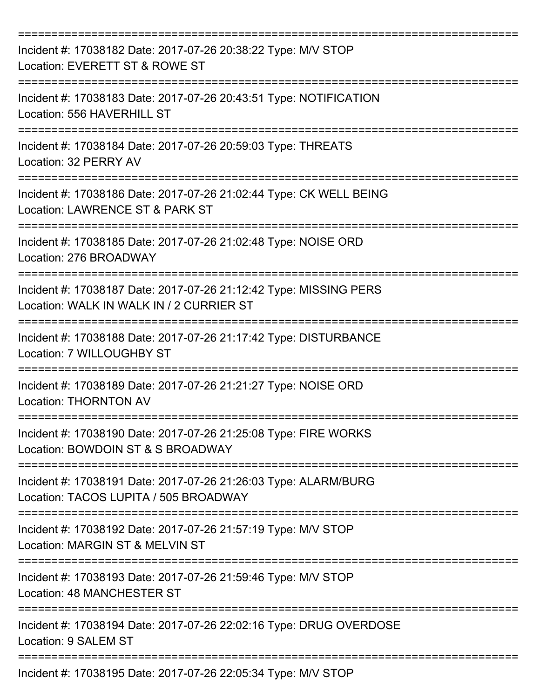| Incident #: 17038182 Date: 2017-07-26 20:38:22 Type: M/V STOP<br>Location: EVERETT ST & ROWE ST                    |
|--------------------------------------------------------------------------------------------------------------------|
| Incident #: 17038183 Date: 2017-07-26 20:43:51 Type: NOTIFICATION<br>Location: 556 HAVERHILL ST                    |
| Incident #: 17038184 Date: 2017-07-26 20:59:03 Type: THREATS<br>Location: 32 PERRY AV                              |
| Incident #: 17038186 Date: 2017-07-26 21:02:44 Type: CK WELL BEING<br>Location: LAWRENCE ST & PARK ST              |
| Incident #: 17038185 Date: 2017-07-26 21:02:48 Type: NOISE ORD<br>Location: 276 BROADWAY                           |
| Incident #: 17038187 Date: 2017-07-26 21:12:42 Type: MISSING PERS<br>Location: WALK IN WALK IN / 2 CURRIER ST      |
| Incident #: 17038188 Date: 2017-07-26 21:17:42 Type: DISTURBANCE<br>Location: 7 WILLOUGHBY ST                      |
| Incident #: 17038189 Date: 2017-07-26 21:21:27 Type: NOISE ORD<br><b>Location: THORNTON AV</b>                     |
| Incident #: 17038190 Date: 2017-07-26 21:25:08 Type: FIRE WORKS<br>Location: BOWDOIN ST & S BROADWAY               |
| Incident #: 17038191 Date: 2017-07-26 21:26:03 Type: ALARM/BURG<br>Location: TACOS LUPITA / 505 BROADWAY           |
| Incident #: 17038192 Date: 2017-07-26 21:57:19 Type: M/V STOP<br>Location: MARGIN ST & MELVIN ST                   |
| Incident #: 17038193 Date: 2017-07-26 21:59:46 Type: M/V STOP<br><b>Location: 48 MANCHESTER ST</b>                 |
| Incident #: 17038194 Date: 2017-07-26 22:02:16 Type: DRUG OVERDOSE<br>Location: 9 SALEM ST<br>-------------------- |
| Incident #: 17038195 Date: 2017-07-26 22:05:34 Type: M/V STOP                                                      |